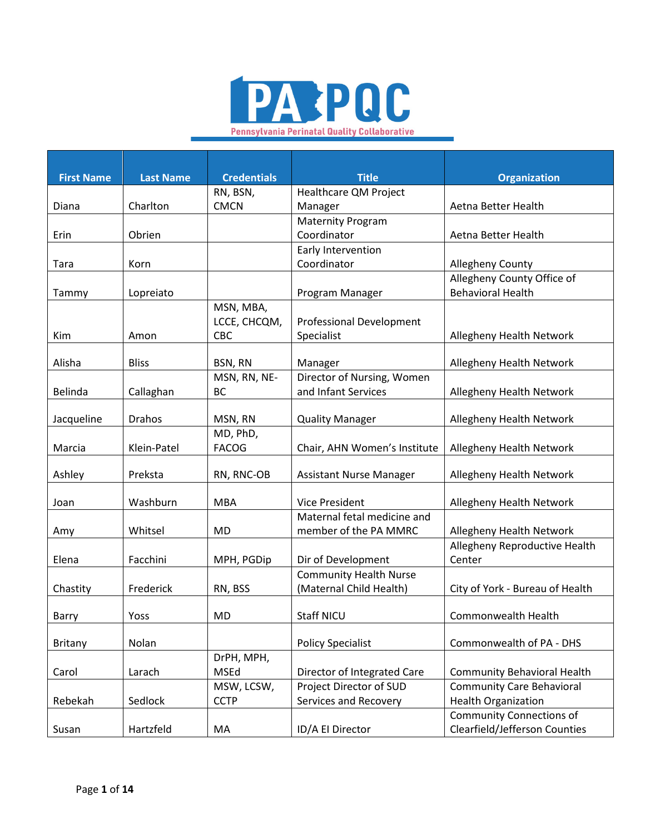

| <b>First Name</b> | <b>Last Name</b> | <b>Credentials</b> | <b>Title</b>                    | <b>Organization</b>                |
|-------------------|------------------|--------------------|---------------------------------|------------------------------------|
|                   |                  | RN, BSN,           | Healthcare QM Project           |                                    |
| Diana             | Charlton         | <b>CMCN</b>        | Manager                         | Aetna Better Health                |
|                   |                  |                    | <b>Maternity Program</b>        |                                    |
| Erin              | Obrien           |                    | Coordinator                     | Aetna Better Health                |
|                   |                  |                    | Early Intervention              |                                    |
| Tara              | Korn             |                    | Coordinator                     | <b>Allegheny County</b>            |
|                   |                  |                    |                                 | Allegheny County Office of         |
| Tammy             | Lopreiato        |                    | Program Manager                 | <b>Behavioral Health</b>           |
|                   |                  | MSN, MBA,          |                                 |                                    |
|                   |                  | LCCE, CHCQM,       | <b>Professional Development</b> |                                    |
| Kim               | Amon             | CBC                | Specialist                      | Allegheny Health Network           |
|                   |                  |                    |                                 |                                    |
| Alisha            | <b>Bliss</b>     | BSN, RN            | Manager                         | Allegheny Health Network           |
|                   |                  | MSN, RN, NE-       | Director of Nursing, Women      |                                    |
| Belinda           | Callaghan        | <b>BC</b>          | and Infant Services             | Allegheny Health Network           |
|                   |                  |                    |                                 |                                    |
| Jacqueline        | Drahos           | MSN, RN            | <b>Quality Manager</b>          | Allegheny Health Network           |
|                   |                  | MD, PhD,           |                                 |                                    |
| Marcia            | Klein-Patel      | <b>FACOG</b>       | Chair, AHN Women's Institute    | Allegheny Health Network           |
|                   | Preksta          |                    |                                 |                                    |
| Ashley            |                  | RN, RNC-OB         | <b>Assistant Nurse Manager</b>  | Allegheny Health Network           |
| Joan              | Washburn         | <b>MBA</b>         | Vice President                  | Allegheny Health Network           |
|                   |                  |                    | Maternal fetal medicine and     |                                    |
| Amy               | Whitsel          | <b>MD</b>          | member of the PA MMRC           | Allegheny Health Network           |
|                   |                  |                    |                                 | Allegheny Reproductive Health      |
| Elena             | Facchini         | MPH, PGDip         | Dir of Development              | Center                             |
|                   |                  |                    | <b>Community Health Nurse</b>   |                                    |
| Chastity          | Frederick        | RN, BSS            | (Maternal Child Health)         | City of York - Bureau of Health    |
|                   |                  |                    |                                 |                                    |
| Barry             | Yoss             | MD                 | <b>Staff NICU</b>               | Commonwealth Health                |
|                   |                  |                    |                                 |                                    |
| <b>Britany</b>    | Nolan            |                    | <b>Policy Specialist</b>        | Commonwealth of PA - DHS           |
|                   |                  | DrPH, MPH,         |                                 |                                    |
| Carol             | Larach           | <b>MSEd</b>        | Director of Integrated Care     | <b>Community Behavioral Health</b> |
|                   |                  | MSW, LCSW,         | Project Director of SUD         | <b>Community Care Behavioral</b>   |
| Rebekah           | Sedlock          | <b>CCTP</b>        | Services and Recovery           | <b>Health Organization</b>         |
|                   |                  |                    |                                 | <b>Community Connections of</b>    |
| Susan             | Hartzfeld        | MA                 | ID/A El Director                | Clearfield/Jefferson Counties      |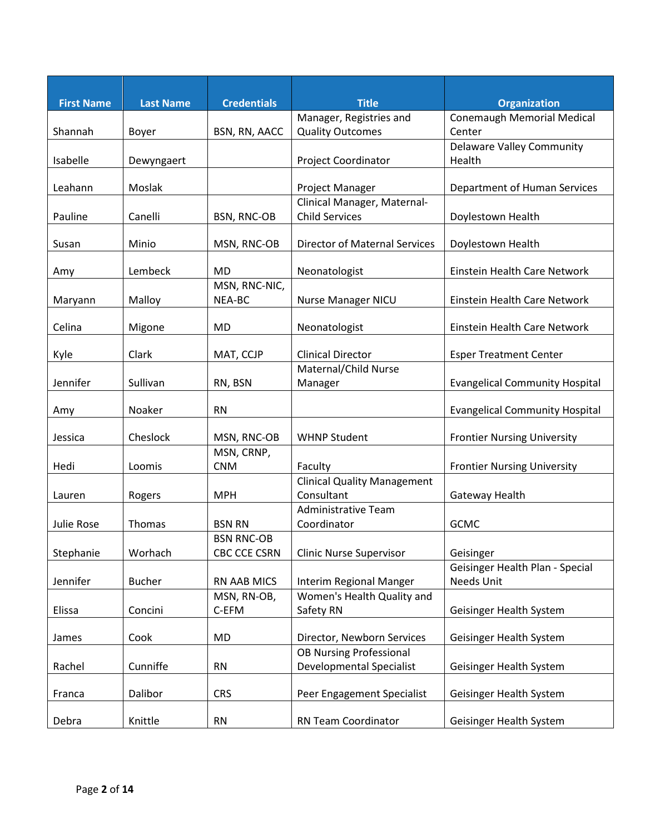| <b>First Name</b> | <b>Last Name</b> | <b>Credentials</b>       | <b>Title</b>                                  | <b>Organization</b>                   |
|-------------------|------------------|--------------------------|-----------------------------------------------|---------------------------------------|
|                   |                  |                          | Manager, Registries and                       | <b>Conemaugh Memorial Medical</b>     |
| Shannah           | Boyer            | BSN, RN, AACC            | <b>Quality Outcomes</b>                       | Center                                |
|                   |                  |                          |                                               | <b>Delaware Valley Community</b>      |
| Isabelle          | Dewyngaert       |                          | <b>Project Coordinator</b>                    | Health                                |
| Leahann           | Moslak           |                          | Project Manager                               | Department of Human Services          |
|                   |                  |                          | Clinical Manager, Maternal-                   |                                       |
| Pauline           | Canelli          | <b>BSN, RNC-OB</b>       | <b>Child Services</b>                         | Doylestown Health                     |
|                   |                  |                          |                                               |                                       |
| Susan             | Minio            | MSN, RNC-OB              | <b>Director of Maternal Services</b>          | Doylestown Health                     |
|                   |                  |                          |                                               |                                       |
| Amy               | Lembeck          | <b>MD</b>                | Neonatologist                                 | Einstein Health Care Network          |
|                   |                  | MSN, RNC-NIC,            |                                               |                                       |
| Maryann           | Malloy           | NEA-BC                   | <b>Nurse Manager NICU</b>                     | Einstein Health Care Network          |
|                   |                  |                          |                                               |                                       |
| Celina            | Migone           | MD                       | Neonatologist                                 | Einstein Health Care Network          |
|                   |                  |                          |                                               |                                       |
| Kyle              | Clark            | MAT, CCJP                | <b>Clinical Director</b>                      | <b>Esper Treatment Center</b>         |
| Jennifer          | Sullivan         | RN, BSN                  | Maternal/Child Nurse<br>Manager               | <b>Evangelical Community Hospital</b> |
|                   |                  |                          |                                               |                                       |
| Amy               | Noaker           | <b>RN</b>                |                                               | <b>Evangelical Community Hospital</b> |
|                   |                  |                          |                                               |                                       |
| Jessica           | Cheslock         | MSN, RNC-OB              | <b>WHNP Student</b>                           | <b>Frontier Nursing University</b>    |
|                   | Loomis           | MSN, CRNP,<br><b>CNM</b> |                                               |                                       |
| Hedi              |                  |                          | Faculty<br><b>Clinical Quality Management</b> | <b>Frontier Nursing University</b>    |
| Lauren            | Rogers           | <b>MPH</b>               | Consultant                                    | Gateway Health                        |
|                   |                  |                          | Administrative Team                           |                                       |
| Julie Rose        | Thomas           | <b>BSN RN</b>            | Coordinator                                   | <b>GCMC</b>                           |
|                   |                  | <b>BSN RNC-OB</b>        |                                               |                                       |
| Stephanie         | Worhach          | CBC CCE CSRN             | <b>Clinic Nurse Supervisor</b>                | Geisinger                             |
|                   |                  |                          |                                               | Geisinger Health Plan - Special       |
| Jennifer          | <b>Bucher</b>    | RN AAB MICS              | Interim Regional Manger                       | <b>Needs Unit</b>                     |
|                   |                  | MSN, RN-OB,              | Women's Health Quality and                    |                                       |
| Elissa            | Concini          | C-EFM                    | Safety RN                                     | Geisinger Health System               |
|                   |                  |                          |                                               |                                       |
| James             | Cook             | MD                       | Director, Newborn Services                    | Geisinger Health System               |
|                   |                  |                          | <b>OB Nursing Professional</b>                |                                       |
| Rachel            | Cunniffe         | <b>RN</b>                | <b>Developmental Specialist</b>               | Geisinger Health System               |
|                   |                  |                          |                                               |                                       |
| Franca            | Dalibor          | <b>CRS</b>               | Peer Engagement Specialist                    | Geisinger Health System               |
| Debra             | Knittle          | <b>RN</b>                | RN Team Coordinator                           | Geisinger Health System               |
|                   |                  |                          |                                               |                                       |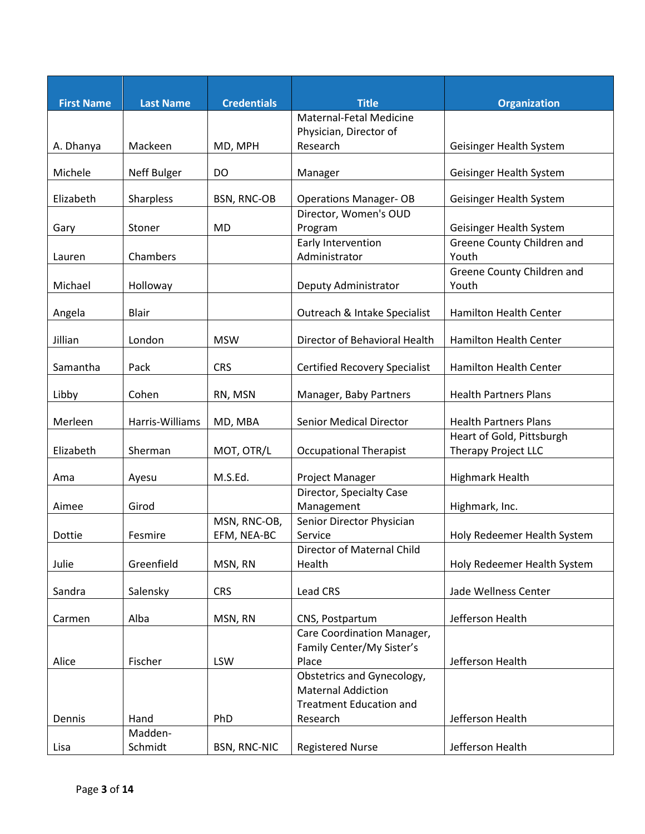| <b>First Name</b> | <b>Last Name</b> | <b>Credentials</b>  | <b>Title</b>                         | <b>Organization</b>                 |
|-------------------|------------------|---------------------|--------------------------------------|-------------------------------------|
|                   |                  |                     | Maternal-Fetal Medicine              |                                     |
|                   |                  |                     | Physician, Director of               |                                     |
| A. Dhanya         | Mackeen          | MD, MPH             | Research                             | Geisinger Health System             |
| Michele           | Neff Bulger      | DO                  | Manager                              | Geisinger Health System             |
| Elizabeth         | Sharpless        | <b>BSN, RNC-OB</b>  | <b>Operations Manager- OB</b>        | Geisinger Health System             |
|                   |                  |                     | Director, Women's OUD                |                                     |
| Gary              | Stoner           | <b>MD</b>           | Program                              | Geisinger Health System             |
| Lauren            | Chambers         |                     | Early Intervention<br>Administrator  | Greene County Children and<br>Youth |
| Michael           | Holloway         |                     | Deputy Administrator                 | Greene County Children and<br>Youth |
| Angela            | <b>Blair</b>     |                     | Outreach & Intake Specialist         | Hamilton Health Center              |
| Jillian           | London           | <b>MSW</b>          | Director of Behavioral Health        | Hamilton Health Center              |
| Samantha          | Pack             | <b>CRS</b>          | <b>Certified Recovery Specialist</b> | Hamilton Health Center              |
| Libby             | Cohen            | RN, MSN             | Manager, Baby Partners               | <b>Health Partners Plans</b>        |
| Merleen           | Harris-Williams  | MD, MBA             | <b>Senior Medical Director</b>       | <b>Health Partners Plans</b>        |
|                   |                  |                     |                                      | Heart of Gold, Pittsburgh           |
| Elizabeth         | Sherman          | MOT, OTR/L          | <b>Occupational Therapist</b>        | <b>Therapy Project LLC</b>          |
| Ama               | Ayesu            | M.S.Ed.             | Project Manager                      | Highmark Health                     |
|                   |                  |                     | Director, Specialty Case             |                                     |
| Aimee             | Girod            |                     | Management                           | Highmark, Inc.                      |
|                   |                  | MSN, RNC-OB,        | Senior Director Physician            |                                     |
| Dottie            | Fesmire          | EFM, NEA-BC         | Service                              | Holy Redeemer Health System         |
|                   |                  |                     | Director of Maternal Child           |                                     |
| Julie             | Greenfield       | MSN, RN             | Health                               | Holy Redeemer Health System         |
| Sandra            | Salensky         | <b>CRS</b>          | Lead CRS                             | Jade Wellness Center                |
| Carmen            | Alba             | MSN, RN             | CNS, Postpartum                      | Jefferson Health                    |
|                   |                  |                     | Care Coordination Manager,           |                                     |
|                   |                  |                     | Family Center/My Sister's            |                                     |
| Alice             | Fischer          | LSW                 | Place                                | Jefferson Health                    |
|                   |                  |                     | Obstetrics and Gynecology,           |                                     |
|                   |                  |                     | <b>Maternal Addiction</b>            |                                     |
|                   |                  |                     | <b>Treatment Education and</b>       |                                     |
| Dennis            | Hand             | PhD                 | Research                             | Jefferson Health                    |
|                   | Madden-          |                     |                                      |                                     |
| Lisa              | Schmidt          | <b>BSN, RNC-NIC</b> | <b>Registered Nurse</b>              | Jefferson Health                    |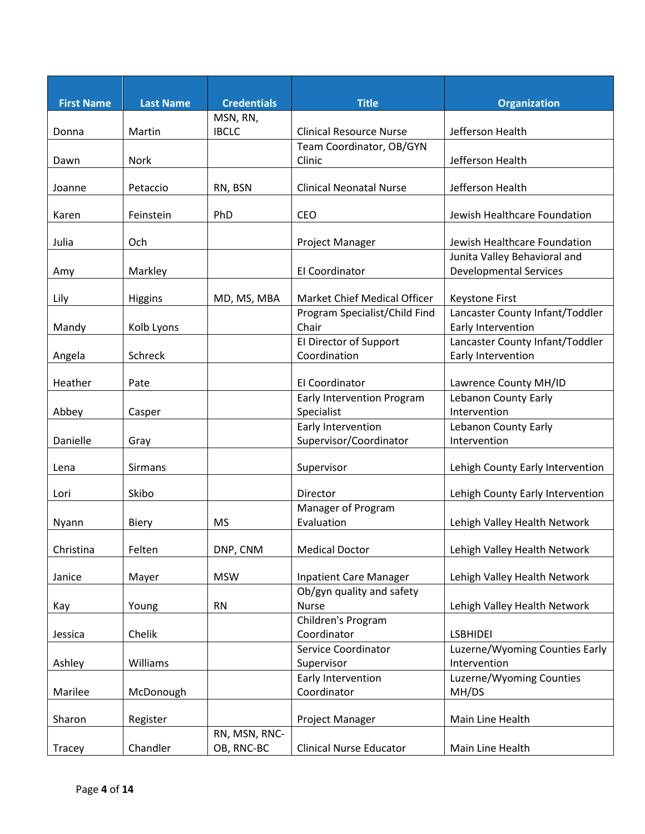| <b>First Name</b> | <b>Last Name</b> | <b>Credentials</b> | <b>Title</b>                      | <b>Organization</b>              |
|-------------------|------------------|--------------------|-----------------------------------|----------------------------------|
|                   |                  | MSN, RN,           |                                   |                                  |
| Donna             | Martin           | <b>IBCLC</b>       | <b>Clinical Resource Nurse</b>    | Jefferson Health                 |
|                   |                  |                    | Team Coordinator, OB/GYN          |                                  |
| Dawn              | Nork             |                    | Clinic                            | Jefferson Health                 |
| Joanne            | Petaccio         | RN, BSN            | <b>Clinical Neonatal Nurse</b>    | Jefferson Health                 |
|                   |                  |                    |                                   |                                  |
| Karen             | Feinstein        | PhD                | <b>CEO</b>                        | Jewish Healthcare Foundation     |
|                   |                  |                    |                                   |                                  |
| Julia             | Och              |                    | Project Manager                   | Jewish Healthcare Foundation     |
|                   |                  |                    |                                   | Junita Valley Behavioral and     |
| Amy               | Markley          |                    | El Coordinator                    | <b>Developmental Services</b>    |
| Lily              | Higgins          | MD, MS, MBA        | Market Chief Medical Officer      | Keystone First                   |
|                   |                  |                    | Program Specialist/Child Find     | Lancaster County Infant/Toddler  |
| Mandy             | Kolb Lyons       |                    | Chair                             | Early Intervention               |
|                   |                  |                    | El Director of Support            | Lancaster County Infant/Toddler  |
| Angela            | Schreck          |                    | Coordination                      | Early Intervention               |
|                   |                  |                    |                                   |                                  |
| Heather           | Pate             |                    | El Coordinator                    | Lawrence County MH/ID            |
|                   |                  |                    | <b>Early Intervention Program</b> | Lebanon County Early             |
| Abbey             | Casper           |                    | Specialist                        | Intervention                     |
|                   |                  |                    | Early Intervention                | Lebanon County Early             |
| Danielle          | Gray             |                    | Supervisor/Coordinator            | Intervention                     |
| Lena              | <b>Sirmans</b>   |                    | Supervisor                        | Lehigh County Early Intervention |
|                   |                  |                    |                                   |                                  |
| Lori              | Skibo            |                    | Director                          | Lehigh County Early Intervention |
|                   |                  |                    | Manager of Program                |                                  |
| Nyann             | <b>Biery</b>     | <b>MS</b>          | Evaluation                        | Lehigh Valley Health Network     |
| Christina         | Felten           | DNP, CNM           | <b>Medical Doctor</b>             | Lehigh Valley Health Network     |
|                   |                  |                    |                                   |                                  |
| Janice            | Mayer            | <b>MSW</b>         | <b>Inpatient Care Manager</b>     | Lehigh Valley Health Network     |
|                   |                  |                    | Ob/gyn quality and safety         |                                  |
| Kay               | Young            | <b>RN</b>          | <b>Nurse</b>                      | Lehigh Valley Health Network     |
|                   |                  |                    | Children's Program                |                                  |
| Jessica           | Chelik           |                    | Coordinator                       | <b>LSBHIDEI</b>                  |
|                   |                  |                    | Service Coordinator               | Luzerne/Wyoming Counties Early   |
| Ashley            | Williams         |                    | Supervisor                        | Intervention                     |
|                   |                  |                    | Early Intervention                | Luzerne/Wyoming Counties         |
| Marilee           | McDonough        |                    | Coordinator                       | MH/DS                            |
| Sharon            | Register         |                    | Project Manager                   | Main Line Health                 |
|                   |                  | RN, MSN, RNC-      |                                   |                                  |
| Tracey            | Chandler         | OB, RNC-BC         | <b>Clinical Nurse Educator</b>    | Main Line Health                 |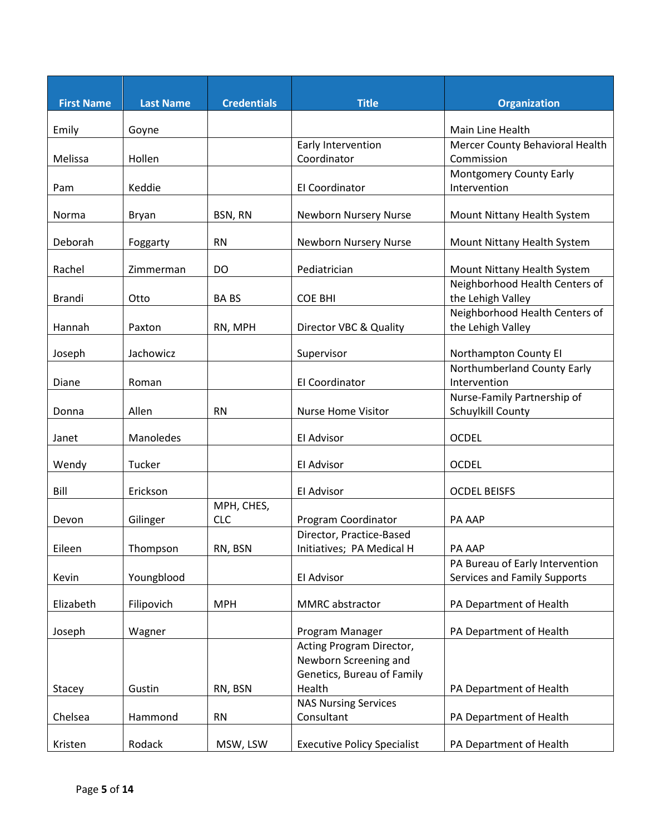| <b>Credentials</b><br><b>Title</b><br><b>First Name</b><br><b>Last Name</b><br><b>Organization</b><br>Main Line Health<br>Emily<br>Goyne<br>Early Intervention<br>Hollen<br>Coordinator<br>Commission<br>Melissa<br><b>Montgomery County Early</b><br>El Coordinator<br>Intervention<br>Keddie<br>Pam<br>Newborn Nursery Nurse<br>BSN, RN<br>Mount Nittany Health System<br>Norma<br>Bryan<br>Deborah<br><b>RN</b><br>Newborn Nursery Nurse<br>Mount Nittany Health System<br>Foggarty |  |  |                                 |
|----------------------------------------------------------------------------------------------------------------------------------------------------------------------------------------------------------------------------------------------------------------------------------------------------------------------------------------------------------------------------------------------------------------------------------------------------------------------------------------|--|--|---------------------------------|
|                                                                                                                                                                                                                                                                                                                                                                                                                                                                                        |  |  |                                 |
|                                                                                                                                                                                                                                                                                                                                                                                                                                                                                        |  |  |                                 |
|                                                                                                                                                                                                                                                                                                                                                                                                                                                                                        |  |  | Mercer County Behavioral Health |
|                                                                                                                                                                                                                                                                                                                                                                                                                                                                                        |  |  |                                 |
|                                                                                                                                                                                                                                                                                                                                                                                                                                                                                        |  |  |                                 |
|                                                                                                                                                                                                                                                                                                                                                                                                                                                                                        |  |  |                                 |
|                                                                                                                                                                                                                                                                                                                                                                                                                                                                                        |  |  |                                 |
|                                                                                                                                                                                                                                                                                                                                                                                                                                                                                        |  |  |                                 |
|                                                                                                                                                                                                                                                                                                                                                                                                                                                                                        |  |  |                                 |
| Pediatrician<br>Rachel<br>DO<br>Mount Nittany Health System<br>Zimmerman                                                                                                                                                                                                                                                                                                                                                                                                               |  |  |                                 |
|                                                                                                                                                                                                                                                                                                                                                                                                                                                                                        |  |  | Neighborhood Health Centers of  |
| the Lehigh Valley<br><b>Brandi</b><br>Otto<br><b>BABS</b><br><b>COE BHI</b>                                                                                                                                                                                                                                                                                                                                                                                                            |  |  |                                 |
|                                                                                                                                                                                                                                                                                                                                                                                                                                                                                        |  |  | Neighborhood Health Centers of  |
| the Lehigh Valley<br>Hannah<br>RN, MPH<br>Director VBC & Quality<br>Paxton                                                                                                                                                                                                                                                                                                                                                                                                             |  |  |                                 |
| Northampton County El<br>Joseph<br>Jachowicz<br>Supervisor                                                                                                                                                                                                                                                                                                                                                                                                                             |  |  |                                 |
| Northumberland County Early                                                                                                                                                                                                                                                                                                                                                                                                                                                            |  |  |                                 |
| El Coordinator<br>Intervention<br><b>Diane</b><br>Roman                                                                                                                                                                                                                                                                                                                                                                                                                                |  |  |                                 |
| Nurse-Family Partnership of                                                                                                                                                                                                                                                                                                                                                                                                                                                            |  |  |                                 |
| Allen<br><b>RN</b><br>Schuylkill County<br>Nurse Home Visitor<br>Donna                                                                                                                                                                                                                                                                                                                                                                                                                 |  |  |                                 |
| Manoledes<br>El Advisor<br><b>OCDEL</b><br>Janet                                                                                                                                                                                                                                                                                                                                                                                                                                       |  |  |                                 |
| Tucker<br>El Advisor<br><b>OCDEL</b><br>Wendy                                                                                                                                                                                                                                                                                                                                                                                                                                          |  |  |                                 |
|                                                                                                                                                                                                                                                                                                                                                                                                                                                                                        |  |  |                                 |
| Bill<br>Erickson<br>El Advisor<br><b>OCDEL BEISFS</b>                                                                                                                                                                                                                                                                                                                                                                                                                                  |  |  |                                 |
| MPH, CHES,                                                                                                                                                                                                                                                                                                                                                                                                                                                                             |  |  |                                 |
| <b>CLC</b><br>Gilinger<br>Program Coordinator<br>PA AAP<br>Devon                                                                                                                                                                                                                                                                                                                                                                                                                       |  |  |                                 |
| Director, Practice-Based                                                                                                                                                                                                                                                                                                                                                                                                                                                               |  |  |                                 |
| RN, BSN<br>Initiatives; PA Medical H<br>Eileen<br>PA AAP<br>Thompson<br>PA Bureau of Early Intervention                                                                                                                                                                                                                                                                                                                                                                                |  |  |                                 |
| Youngblood<br>El Advisor<br>Services and Family Supports<br>Kevin                                                                                                                                                                                                                                                                                                                                                                                                                      |  |  |                                 |
|                                                                                                                                                                                                                                                                                                                                                                                                                                                                                        |  |  |                                 |
| <b>MPH</b><br>MMRC abstractor<br>PA Department of Health<br>Elizabeth<br>Filipovich                                                                                                                                                                                                                                                                                                                                                                                                    |  |  |                                 |
| PA Department of Health<br>Joseph<br>Wagner<br>Program Manager                                                                                                                                                                                                                                                                                                                                                                                                                         |  |  |                                 |
| Acting Program Director,                                                                                                                                                                                                                                                                                                                                                                                                                                                               |  |  |                                 |
| Newborn Screening and                                                                                                                                                                                                                                                                                                                                                                                                                                                                  |  |  |                                 |
| Genetics, Bureau of Family                                                                                                                                                                                                                                                                                                                                                                                                                                                             |  |  |                                 |
| RN, BSN<br>Health<br>PA Department of Health<br>Stacey<br>Gustin                                                                                                                                                                                                                                                                                                                                                                                                                       |  |  |                                 |
| <b>NAS Nursing Services</b>                                                                                                                                                                                                                                                                                                                                                                                                                                                            |  |  |                                 |
| Chelsea<br>Consultant<br>PA Department of Health<br>Hammond<br><b>RN</b>                                                                                                                                                                                                                                                                                                                                                                                                               |  |  |                                 |
| Rodack<br><b>Executive Policy Specialist</b><br>PA Department of Health<br>Kristen<br>MSW, LSW                                                                                                                                                                                                                                                                                                                                                                                         |  |  |                                 |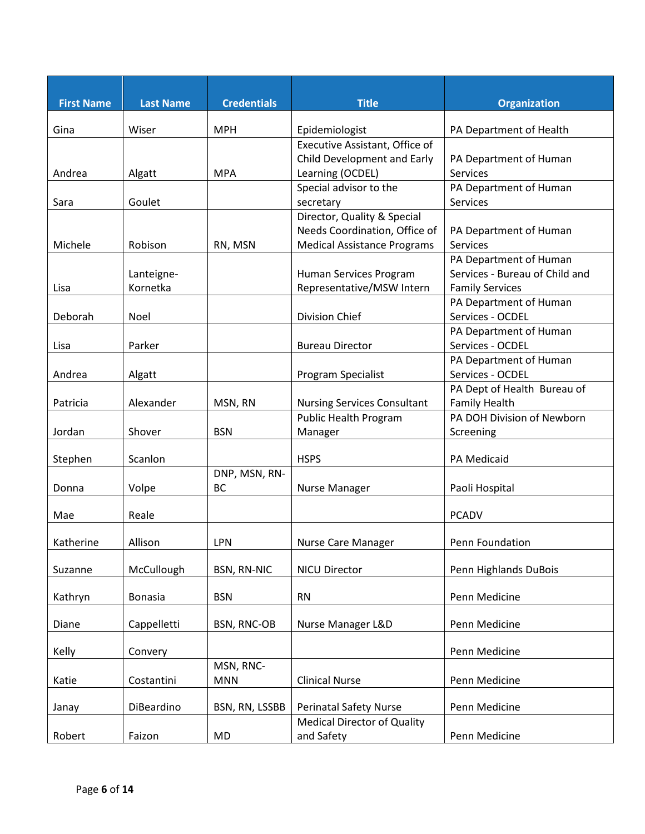| <b>First Name</b> | <b>Last Name</b>       | <b>Credentials</b> | <b>Title</b>                       | <b>Organization</b>                              |
|-------------------|------------------------|--------------------|------------------------------------|--------------------------------------------------|
| Gina              | Wiser                  | <b>MPH</b>         | Epidemiologist                     | PA Department of Health                          |
|                   |                        |                    | Executive Assistant, Office of     |                                                  |
|                   |                        |                    | Child Development and Early        | PA Department of Human                           |
| Andrea            | Algatt                 | <b>MPA</b>         | Learning (OCDEL)                   | <b>Services</b>                                  |
|                   |                        |                    | Special advisor to the             | PA Department of Human                           |
| Sara              | Goulet                 |                    | secretary                          | Services                                         |
|                   |                        |                    | Director, Quality & Special        |                                                  |
|                   |                        |                    | Needs Coordination, Office of      | PA Department of Human                           |
| Michele           | Robison                | RN, MSN            | <b>Medical Assistance Programs</b> | <b>Services</b>                                  |
|                   |                        |                    |                                    | PA Department of Human                           |
|                   | Lanteigne-<br>Kornetka |                    | Human Services Program             | Services - Bureau of Child and                   |
| Lisa              |                        |                    | Representative/MSW Intern          | <b>Family Services</b><br>PA Department of Human |
| Deborah           | Noel                   |                    | Division Chief                     | Services - OCDEL                                 |
|                   |                        |                    |                                    | PA Department of Human                           |
| Lisa              | Parker                 |                    | <b>Bureau Director</b>             | Services - OCDEL                                 |
|                   |                        |                    |                                    | PA Department of Human                           |
| Andrea            | Algatt                 |                    | Program Specialist                 | Services - OCDEL                                 |
|                   |                        |                    |                                    | PA Dept of Health Bureau of                      |
| Patricia          | Alexander              | MSN, RN            | <b>Nursing Services Consultant</b> | <b>Family Health</b>                             |
|                   |                        |                    | <b>Public Health Program</b>       | PA DOH Division of Newborn                       |
| Jordan            | Shover                 | <b>BSN</b>         | Manager                            | Screening                                        |
| Stephen           | Scanlon                |                    | <b>HSPS</b>                        | PA Medicaid                                      |
|                   |                        | DNP, MSN, RN-      |                                    |                                                  |
| Donna             | Volpe                  | <b>BC</b>          | <b>Nurse Manager</b>               | Paoli Hospital                                   |
| Mae               | Reale                  |                    |                                    | <b>PCADV</b>                                     |
| Katherine         | Allison                | <b>LPN</b>         | Nurse Care Manager                 | Penn Foundation                                  |
|                   |                        |                    |                                    |                                                  |
| Suzanne           | McCullough             | <b>BSN, RN-NIC</b> | <b>NICU Director</b>               | Penn Highlands DuBois                            |
|                   |                        |                    |                                    |                                                  |
| Kathryn           | Bonasia                | <b>BSN</b>         | <b>RN</b>                          | Penn Medicine                                    |
| Diane             | Cappelletti            | BSN, RNC-OB        | Nurse Manager L&D                  | Penn Medicine                                    |
|                   |                        |                    |                                    |                                                  |
| Kelly             | Convery                |                    |                                    | Penn Medicine                                    |
|                   |                        | MSN, RNC-          |                                    |                                                  |
| Katie             | Costantini             | <b>MNN</b>         | <b>Clinical Nurse</b>              | Penn Medicine                                    |
|                   |                        |                    |                                    |                                                  |
| Janay             | DiBeardino             | BSN, RN, LSSBB     | <b>Perinatal Safety Nurse</b>      | Penn Medicine                                    |
|                   |                        |                    | <b>Medical Director of Quality</b> |                                                  |
| Robert            | Faizon                 | MD                 | and Safety                         | Penn Medicine                                    |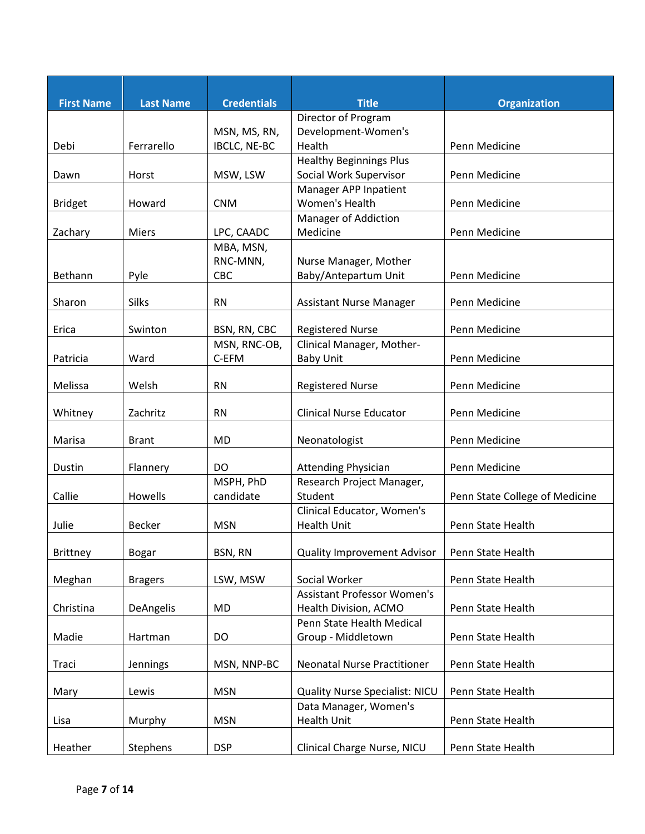| <b>First Name</b> | <b>Last Name</b> | <b>Credentials</b> | <b>Title</b>                                                | <b>Organization</b>            |
|-------------------|------------------|--------------------|-------------------------------------------------------------|--------------------------------|
|                   |                  |                    | Director of Program                                         |                                |
|                   |                  | MSN, MS, RN,       | Development-Women's                                         |                                |
| Debi              | Ferrarello       | IBCLC, NE-BC       | Health                                                      | Penn Medicine                  |
|                   |                  |                    | <b>Healthy Beginnings Plus</b>                              |                                |
| Dawn              | Horst            | MSW, LSW           | Social Work Supervisor                                      | Penn Medicine                  |
|                   |                  |                    | Manager APP Inpatient                                       |                                |
| <b>Bridget</b>    | Howard           | <b>CNM</b>         | Women's Health                                              | Penn Medicine                  |
|                   |                  |                    | <b>Manager of Addiction</b>                                 |                                |
| Zachary           | Miers            | LPC, CAADC         | Medicine                                                    | Penn Medicine                  |
|                   |                  | MBA, MSN,          |                                                             |                                |
|                   |                  | RNC-MNN,           | Nurse Manager, Mother                                       |                                |
| Bethann           | Pyle             | <b>CBC</b>         | Baby/Antepartum Unit                                        | Penn Medicine                  |
|                   |                  |                    |                                                             |                                |
| Sharon            | <b>Silks</b>     | <b>RN</b>          | <b>Assistant Nurse Manager</b>                              | Penn Medicine                  |
| Erica             | Swinton          | BSN, RN, CBC       | <b>Registered Nurse</b>                                     | Penn Medicine                  |
|                   |                  | MSN, RNC-OB,       | Clinical Manager, Mother-                                   |                                |
| Patricia          | Ward             | C-EFM              | <b>Baby Unit</b>                                            | Penn Medicine                  |
|                   |                  |                    |                                                             |                                |
| Melissa           | Welsh            | <b>RN</b>          | <b>Registered Nurse</b>                                     | Penn Medicine                  |
| Whitney           | Zachritz         | <b>RN</b>          | <b>Clinical Nurse Educator</b>                              | Penn Medicine                  |
|                   |                  |                    |                                                             |                                |
| Marisa            | <b>Brant</b>     | MD                 | Neonatologist                                               | Penn Medicine                  |
|                   |                  |                    |                                                             |                                |
| Dustin            | Flannery         | <b>DO</b>          | <b>Attending Physician</b>                                  | Penn Medicine                  |
| Callie            | Howells          | MSPH, PhD          | Research Project Manager,<br>Student                        |                                |
|                   |                  | candidate          | Clinical Educator, Women's                                  | Penn State College of Medicine |
| Julie             | <b>Becker</b>    | <b>MSN</b>         | <b>Health Unit</b>                                          | Penn State Health              |
|                   |                  |                    |                                                             |                                |
| <b>Brittney</b>   | Bogar            | BSN, RN            | <b>Quality Improvement Advisor</b>                          | Penn State Health              |
|                   |                  |                    |                                                             |                                |
| Meghan            | <b>Bragers</b>   | LSW, MSW           | Social Worker                                               | Penn State Health              |
|                   |                  |                    | <b>Assistant Professor Women's</b><br>Health Division, ACMO | Penn State Health              |
| Christina         | DeAngelis        | MD                 | Penn State Health Medical                                   |                                |
| Madie             | Hartman          | DO                 | Group - Middletown                                          | Penn State Health              |
|                   |                  |                    |                                                             |                                |
| Traci             | Jennings         | MSN, NNP-BC        | <b>Neonatal Nurse Practitioner</b>                          | Penn State Health              |
|                   |                  |                    |                                                             |                                |
| Mary              | Lewis            | <b>MSN</b>         | <b>Quality Nurse Specialist: NICU</b>                       | Penn State Health              |
|                   |                  |                    | Data Manager, Women's                                       |                                |
| Lisa              | Murphy           | <b>MSN</b>         | <b>Health Unit</b>                                          | Penn State Health              |
| Heather           | Stephens         | <b>DSP</b>         | Clinical Charge Nurse, NICU                                 | Penn State Health              |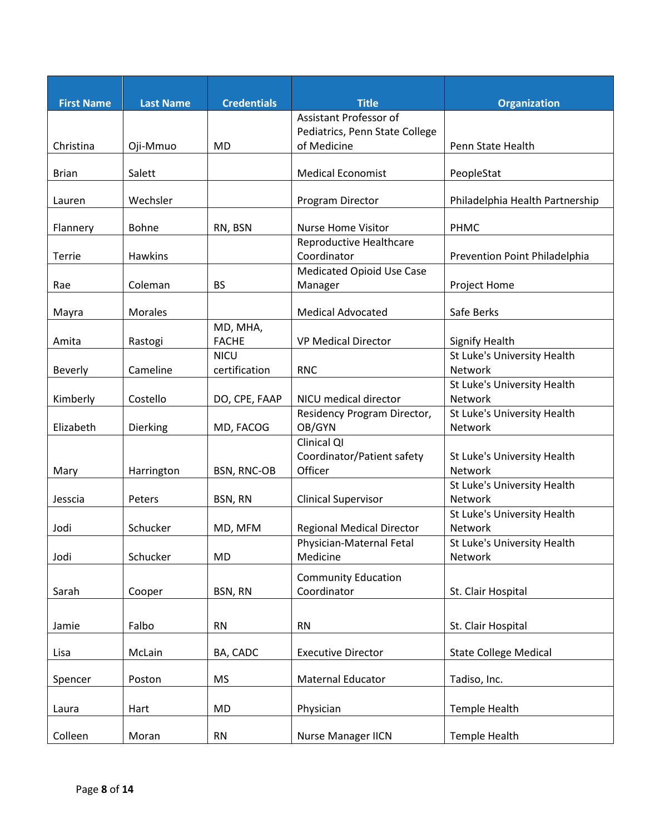| <b>First Name</b> | <b>Last Name</b> | <b>Credentials</b>          | <b>Title</b>                                  | <b>Organization</b>                    |
|-------------------|------------------|-----------------------------|-----------------------------------------------|----------------------------------------|
|                   |                  |                             | Assistant Professor of                        |                                        |
| Christina         | Oji-Mmuo         | <b>MD</b>                   | Pediatrics, Penn State College<br>of Medicine | Penn State Health                      |
|                   |                  |                             |                                               |                                        |
| <b>Brian</b>      | Salett           |                             | <b>Medical Economist</b>                      | PeopleStat                             |
| Lauren            | Wechsler         |                             | Program Director                              | Philadelphia Health Partnership        |
| Flannery          | Bohne            | RN, BSN                     | <b>Nurse Home Visitor</b>                     | PHMC                                   |
|                   |                  |                             | Reproductive Healthcare                       |                                        |
| Terrie            | <b>Hawkins</b>   |                             | Coordinator                                   | Prevention Point Philadelphia          |
| Rae               | Coleman          | <b>BS</b>                   | <b>Medicated Opioid Use Case</b><br>Manager   | Project Home                           |
|                   |                  |                             |                                               |                                        |
| Mayra             | Morales          |                             | <b>Medical Advocated</b>                      | Safe Berks                             |
|                   |                  | MD, MHA,                    |                                               |                                        |
| Amita             | Rastogi          | <b>FACHE</b><br><b>NICU</b> | <b>VP Medical Director</b>                    | <b>Signify Health</b>                  |
| Beverly           | Cameline         | certification               | <b>RNC</b>                                    | St Luke's University Health<br>Network |
|                   |                  |                             |                                               | St Luke's University Health            |
| Kimberly          | Costello         | DO, CPE, FAAP               | NICU medical director                         | Network                                |
|                   |                  |                             | Residency Program Director,                   | St Luke's University Health            |
| Elizabeth         | Dierking         | MD, FACOG                   | OB/GYN<br>Clinical QI                         | <b>Network</b>                         |
|                   |                  |                             | Coordinator/Patient safety                    | St Luke's University Health            |
| Mary              | Harrington       | <b>BSN, RNC-OB</b>          | Officer                                       | Network                                |
|                   |                  |                             |                                               | St Luke's University Health            |
| Jesscia           | Peters           | BSN, RN                     | <b>Clinical Supervisor</b>                    | Network                                |
|                   |                  |                             |                                               | St Luke's University Health            |
| Jodi              | Schucker         | MD, MFM                     | <b>Regional Medical Director</b>              | <b>Network</b>                         |
| Jodi              | Schucker         | <b>MD</b>                   | Physician-Maternal Fetal<br>Medicine          | St Luke's University Health<br>Network |
|                   |                  |                             |                                               |                                        |
|                   |                  |                             | <b>Community Education</b>                    |                                        |
| Sarah             | Cooper           | BSN, RN                     | Coordinator                                   | St. Clair Hospital                     |
|                   |                  |                             |                                               |                                        |
| Jamie             | Falbo            | <b>RN</b>                   | <b>RN</b>                                     | St. Clair Hospital                     |
| Lisa              | McLain           | BA, CADC                    | <b>Executive Director</b>                     | <b>State College Medical</b>           |
| Spencer           | Poston           | <b>MS</b>                   | Maternal Educator                             | Tadiso, Inc.                           |
|                   |                  |                             |                                               |                                        |
| Laura             | Hart             | MD                          | Physician                                     | Temple Health                          |
|                   |                  |                             |                                               |                                        |
| Colleen           | Moran            | <b>RN</b>                   | <b>Nurse Manager IICN</b>                     | Temple Health                          |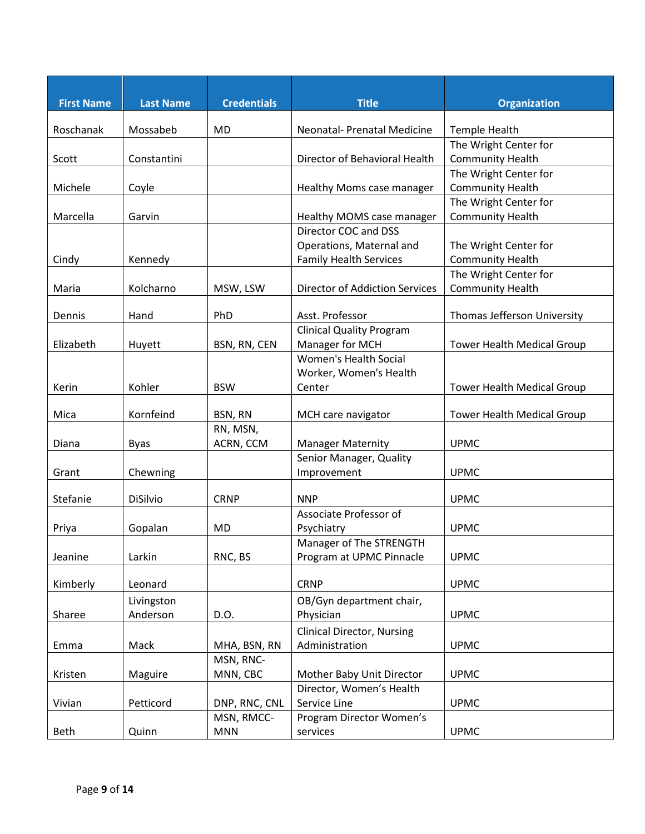| <b>First Name</b> | <b>Last Name</b> | <b>Credentials</b> | <b>Title</b>                          | <b>Organization</b>               |
|-------------------|------------------|--------------------|---------------------------------------|-----------------------------------|
| Roschanak         | Mossabeb         | <b>MD</b>          | <b>Neonatal-Prenatal Medicine</b>     | Temple Health                     |
|                   |                  |                    |                                       | The Wright Center for             |
| Scott             | Constantini      |                    | Director of Behavioral Health         | <b>Community Health</b>           |
|                   |                  |                    |                                       | The Wright Center for             |
| Michele           | Coyle            |                    | Healthy Moms case manager             | <b>Community Health</b>           |
|                   |                  |                    |                                       | The Wright Center for             |
| Marcella          | Garvin           |                    | Healthy MOMS case manager             | <b>Community Health</b>           |
|                   |                  |                    | Director COC and DSS                  |                                   |
|                   |                  |                    | Operations, Maternal and              | The Wright Center for             |
| Cindy             | Kennedy          |                    | <b>Family Health Services</b>         | <b>Community Health</b>           |
|                   |                  |                    |                                       | The Wright Center for             |
| Maria             | Kolcharno        | MSW, LSW           | <b>Director of Addiction Services</b> | <b>Community Health</b>           |
| Dennis            | Hand             | PhD                | Asst. Professor                       | Thomas Jefferson University       |
|                   |                  |                    | <b>Clinical Quality Program</b>       |                                   |
| Elizabeth         | Huyett           | BSN, RN, CEN       | Manager for MCH                       | <b>Tower Health Medical Group</b> |
|                   |                  |                    | <b>Women's Health Social</b>          |                                   |
|                   |                  |                    | Worker, Women's Health                |                                   |
| Kerin             | Kohler           | <b>BSW</b>         | Center                                | <b>Tower Health Medical Group</b> |
|                   |                  |                    |                                       |                                   |
| Mica              | Kornfeind        | BSN, RN            | MCH care navigator                    | <b>Tower Health Medical Group</b> |
|                   |                  | RN, MSN,           |                                       |                                   |
| Diana             | <b>Byas</b>      | ACRN, CCM          | <b>Manager Maternity</b>              | <b>UPMC</b>                       |
|                   |                  |                    | Senior Manager, Quality               |                                   |
| Grant             | Chewning         |                    | Improvement                           | <b>UPMC</b>                       |
| Stefanie          | <b>DiSilvio</b>  | <b>CRNP</b>        | <b>NNP</b>                            | <b>UPMC</b>                       |
|                   |                  |                    | Associate Professor of                |                                   |
| Priya             | Gopalan          | <b>MD</b>          | Psychiatry                            | <b>UPMC</b>                       |
|                   |                  |                    | Manager of The STRENGTH               |                                   |
| Jeanine           | Larkin           | RNC, BS            | Program at UPMC Pinnacle              | <b>UPMC</b>                       |
|                   |                  |                    |                                       |                                   |
| Kimberly          | Leonard          |                    | <b>CRNP</b>                           | <b>UPMC</b>                       |
|                   | Livingston       |                    | OB/Gyn department chair,              |                                   |
| Sharee            | Anderson         | D.O.               | Physician                             | <b>UPMC</b>                       |
|                   |                  |                    | <b>Clinical Director, Nursing</b>     |                                   |
| Emma              | Mack             | MHA, BSN, RN       | Administration                        | <b>UPMC</b>                       |
|                   |                  | MSN, RNC-          |                                       |                                   |
| Kristen           | Maguire          | MNN, CBC           | Mother Baby Unit Director             | <b>UPMC</b>                       |
|                   |                  |                    | Director, Women's Health              |                                   |
| Vivian            | Petticord        | DNP, RNC, CNL      | Service Line                          | <b>UPMC</b>                       |
|                   |                  | MSN, RMCC-         | Program Director Women's              |                                   |
| Beth              | Quinn            | <b>MNN</b>         | services                              | <b>UPMC</b>                       |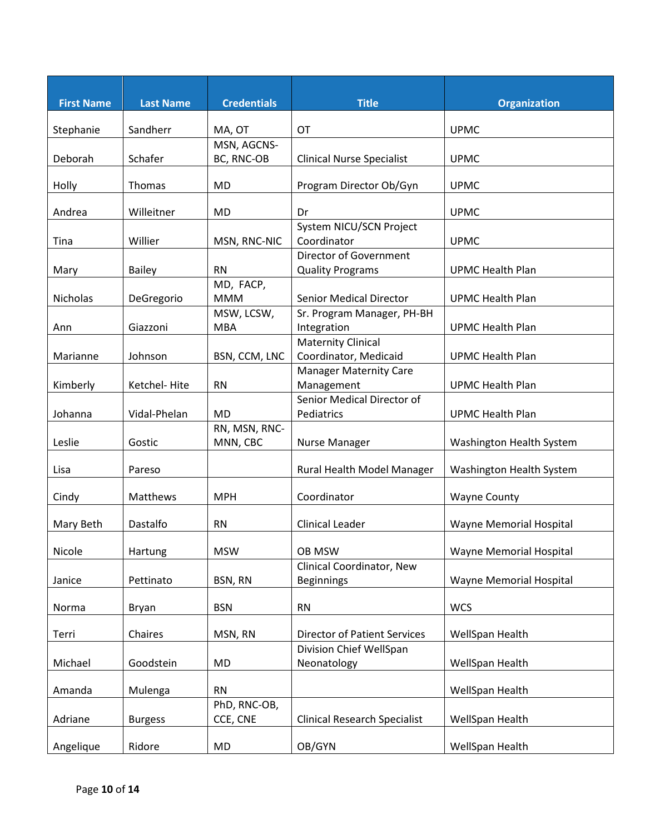| <b>First Name</b> | <b>Last Name</b> | <b>Credentials</b>        | <b>Title</b>                                       | <b>Organization</b>      |
|-------------------|------------------|---------------------------|----------------------------------------------------|--------------------------|
| Stephanie         | Sandherr         | MA, OT                    | OT                                                 | <b>UPMC</b>              |
| Deborah           | Schafer          | MSN, AGCNS-<br>BC, RNC-OB | <b>Clinical Nurse Specialist</b>                   | <b>UPMC</b>              |
| Holly             | Thomas           | MD                        | Program Director Ob/Gyn                            | <b>UPMC</b>              |
| Andrea            | Willeitner       | MD                        | Dr                                                 | <b>UPMC</b>              |
| Tina              | Willier          | MSN, RNC-NIC              | System NICU/SCN Project<br>Coordinator             | <b>UPMC</b>              |
| Mary              | Bailey           | <b>RN</b>                 | Director of Government<br><b>Quality Programs</b>  | <b>UPMC Health Plan</b>  |
| Nicholas          | DeGregorio       | MD, FACP,<br><b>MMM</b>   | <b>Senior Medical Director</b>                     | <b>UPMC Health Plan</b>  |
| Ann               | Giazzoni         | MSW, LCSW,<br><b>MBA</b>  | Sr. Program Manager, PH-BH<br>Integration          | <b>UPMC Health Plan</b>  |
| Marianne          | Johnson          | BSN, CCM, LNC             | <b>Maternity Clinical</b><br>Coordinator, Medicaid | <b>UPMC Health Plan</b>  |
| Kimberly          | Ketchel-Hite     | <b>RN</b>                 | <b>Manager Maternity Care</b><br>Management        | <b>UPMC Health Plan</b>  |
| Johanna           | Vidal-Phelan     | MD                        | Senior Medical Director of<br>Pediatrics           | <b>UPMC Health Plan</b>  |
| Leslie            | Gostic           | RN, MSN, RNC-<br>MNN, CBC | Nurse Manager                                      | Washington Health System |
| Lisa              | Pareso           |                           | Rural Health Model Manager                         | Washington Health System |
| Cindy             | Matthews         | <b>MPH</b>                | Coordinator                                        | <b>Wayne County</b>      |
| Mary Beth         | Dastalfo         | <b>RN</b>                 | <b>Clinical Leader</b>                             | Wayne Memorial Hospital  |
| Nicole            | Hartung          | <b>MSW</b>                | OB MSW                                             | Wayne Memorial Hospital  |
| Janice            | Pettinato        | BSN, RN                   | Clinical Coordinator, New<br><b>Beginnings</b>     | Wayne Memorial Hospital  |
| Norma             | Bryan            | <b>BSN</b>                | <b>RN</b>                                          | <b>WCS</b>               |
| Terri             | Chaires          | MSN, RN                   | <b>Director of Patient Services</b>                | WellSpan Health          |
| Michael           | Goodstein        | <b>MD</b>                 | Division Chief WellSpan<br>Neonatology             | WellSpan Health          |
| Amanda            | Mulenga          | <b>RN</b>                 |                                                    | WellSpan Health          |
| Adriane           | <b>Burgess</b>   | PhD, RNC-OB,<br>CCE, CNE  | <b>Clinical Research Specialist</b>                | WellSpan Health          |
| Angelique         | Ridore           | MD                        | OB/GYN                                             | WellSpan Health          |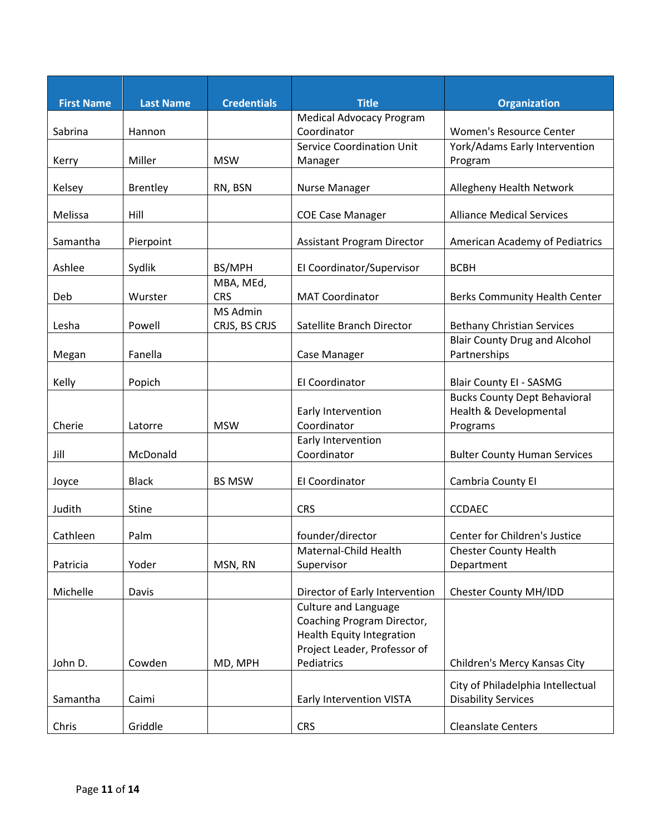| <b>First Name</b> | <b>Last Name</b> | <b>Credentials</b> | <b>Title</b>                      | <b>Organization</b>                  |
|-------------------|------------------|--------------------|-----------------------------------|--------------------------------------|
|                   |                  |                    | <b>Medical Advocacy Program</b>   |                                      |
| Sabrina           | Hannon           |                    | Coordinator                       | Women's Resource Center              |
|                   |                  |                    | <b>Service Coordination Unit</b>  | York/Adams Early Intervention        |
| Kerry             | Miller           | <b>MSW</b>         | Manager                           | Program                              |
|                   |                  |                    |                                   |                                      |
| Kelsey            | <b>Brentley</b>  | RN, BSN            | Nurse Manager                     | Allegheny Health Network             |
| Melissa           | Hill             |                    | <b>COE Case Manager</b>           | <b>Alliance Medical Services</b>     |
|                   |                  |                    |                                   |                                      |
| Samantha          | Pierpoint        |                    | <b>Assistant Program Director</b> | American Academy of Pediatrics       |
|                   |                  |                    |                                   |                                      |
| Ashlee            | Sydlik           | BS/MPH             | El Coordinator/Supervisor         | <b>BCBH</b>                          |
|                   |                  | MBA, MEd,          |                                   |                                      |
| Deb               | Wurster          | <b>CRS</b>         | <b>MAT Coordinator</b>            | <b>Berks Community Health Center</b> |
|                   |                  | MS Admin           |                                   |                                      |
| Lesha             | Powell           | CRJS, BS CRJS      | Satellite Branch Director         | <b>Bethany Christian Services</b>    |
|                   | Fanella          |                    |                                   | <b>Blair County Drug and Alcohol</b> |
| Megan             |                  |                    | Case Manager                      | Partnerships                         |
| Kelly             | Popich           |                    | <b>El Coordinator</b>             | <b>Blair County EI - SASMG</b>       |
|                   |                  |                    |                                   | <b>Bucks County Dept Behavioral</b>  |
|                   |                  |                    | Early Intervention                | Health & Developmental               |
| Cherie            | Latorre          | <b>MSW</b>         | Coordinator                       | Programs                             |
|                   |                  |                    | Early Intervention                |                                      |
| Jill              | McDonald         |                    | Coordinator                       | <b>Bulter County Human Services</b>  |
|                   |                  |                    |                                   |                                      |
| Joyce             | <b>Black</b>     | <b>BS MSW</b>      | El Coordinator                    | Cambria County El                    |
|                   |                  |                    |                                   |                                      |
| Judith            | <b>Stine</b>     |                    | <b>CRS</b>                        | <b>CCDAEC</b>                        |
| Cathleen          | Palm             |                    | founder/director                  | Center for Children's Justice        |
|                   |                  |                    | Maternal-Child Health             | <b>Chester County Health</b>         |
| Patricia          | Yoder            | MSN, RN            | Supervisor                        | Department                           |
|                   |                  |                    |                                   |                                      |
| Michelle          | Davis            |                    | Director of Early Intervention    | <b>Chester County MH/IDD</b>         |
|                   |                  |                    | <b>Culture and Language</b>       |                                      |
|                   |                  |                    | Coaching Program Director,        |                                      |
|                   |                  |                    | <b>Health Equity Integration</b>  |                                      |
|                   |                  |                    | Project Leader, Professor of      |                                      |
| John D.           | Cowden           | MD, MPH            | Pediatrics                        | Children's Mercy Kansas City         |
|                   |                  |                    |                                   | City of Philadelphia Intellectual    |
| Samantha          | Caimi            |                    | <b>Early Intervention VISTA</b>   | <b>Disability Services</b>           |
|                   |                  |                    |                                   |                                      |
| Chris             | Griddle          |                    | <b>CRS</b>                        | <b>Cleanslate Centers</b>            |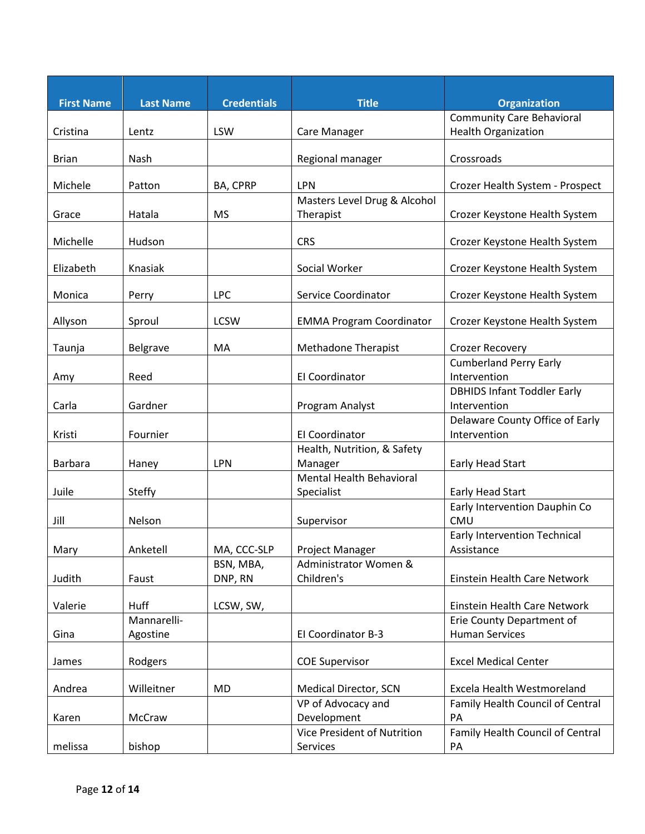| <b>First Name</b> | <b>Last Name</b> | <b>Credentials</b>   | <b>Title</b>                             | <b>Organization</b>                                            |
|-------------------|------------------|----------------------|------------------------------------------|----------------------------------------------------------------|
| Cristina          | Lentz            | <b>LSW</b>           | Care Manager                             | <b>Community Care Behavioral</b><br><b>Health Organization</b> |
|                   |                  |                      |                                          |                                                                |
| <b>Brian</b>      | Nash             |                      | Regional manager                         | Crossroads                                                     |
|                   |                  |                      |                                          |                                                                |
| Michele           | Patton           | BA, CPRP             | LPN                                      | Crozer Health System - Prospect                                |
|                   |                  |                      | Masters Level Drug & Alcohol             |                                                                |
| Grace             | Hatala           | <b>MS</b>            | Therapist                                | Crozer Keystone Health System                                  |
| Michelle          | Hudson           |                      | <b>CRS</b>                               | Crozer Keystone Health System                                  |
|                   |                  |                      |                                          |                                                                |
| Elizabeth         | Knasiak          |                      | Social Worker                            | Crozer Keystone Health System                                  |
| Monica            | Perry            | <b>LPC</b>           | Service Coordinator                      | Crozer Keystone Health System                                  |
|                   |                  |                      |                                          |                                                                |
| Allyson           | Sproul           | <b>LCSW</b>          | <b>EMMA Program Coordinator</b>          | Crozer Keystone Health System                                  |
|                   |                  | MA                   |                                          |                                                                |
| Taunja            | Belgrave         |                      | <b>Methadone Therapist</b>               | <b>Crozer Recovery</b><br><b>Cumberland Perry Early</b>        |
| Amy               | Reed             |                      | El Coordinator                           | Intervention                                                   |
|                   |                  |                      |                                          | <b>DBHIDS Infant Toddler Early</b>                             |
| Carla             | Gardner          |                      | Program Analyst                          | Intervention                                                   |
|                   |                  |                      |                                          | Delaware County Office of Early                                |
| Kristi            | Fournier         |                      | El Coordinator                           | Intervention                                                   |
|                   |                  |                      | Health, Nutrition, & Safety              |                                                                |
| <b>Barbara</b>    | Haney            | <b>LPN</b>           | Manager                                  | Early Head Start                                               |
|                   |                  |                      | <b>Mental Health Behavioral</b>          |                                                                |
| Juile             | Steffy           |                      | Specialist                               | Early Head Start                                               |
|                   |                  |                      |                                          | Early Intervention Dauphin Co                                  |
| Jill              | Nelson           |                      | Supervisor                               | CMU                                                            |
|                   |                  |                      |                                          | Early Intervention Technical                                   |
| Mary              | Anketell         | MA, CCC-SLP          | Project Manager<br>Administrator Women & | Assistance                                                     |
| Judith            | Faust            | BSN, MBA,<br>DNP, RN | Children's                               | Einstein Health Care Network                                   |
|                   |                  |                      |                                          |                                                                |
| Valerie           | Huff             | LCSW, SW,            |                                          | Einstein Health Care Network                                   |
|                   | Mannarelli-      |                      |                                          | Erie County Department of                                      |
| Gina              | Agostine         |                      | El Coordinator B-3                       | <b>Human Services</b>                                          |
|                   |                  |                      |                                          |                                                                |
| James             | Rodgers          |                      | <b>COE Supervisor</b>                    | <b>Excel Medical Center</b>                                    |
| Andrea            | Willeitner       | MD                   | Medical Director, SCN                    | Excela Health Westmoreland                                     |
|                   |                  |                      | VP of Advocacy and                       | Family Health Council of Central                               |
| Karen             | McCraw           |                      | Development                              | PA                                                             |
|                   |                  |                      | Vice President of Nutrition              | Family Health Council of Central                               |
| melissa           | bishop           |                      | Services                                 | PA                                                             |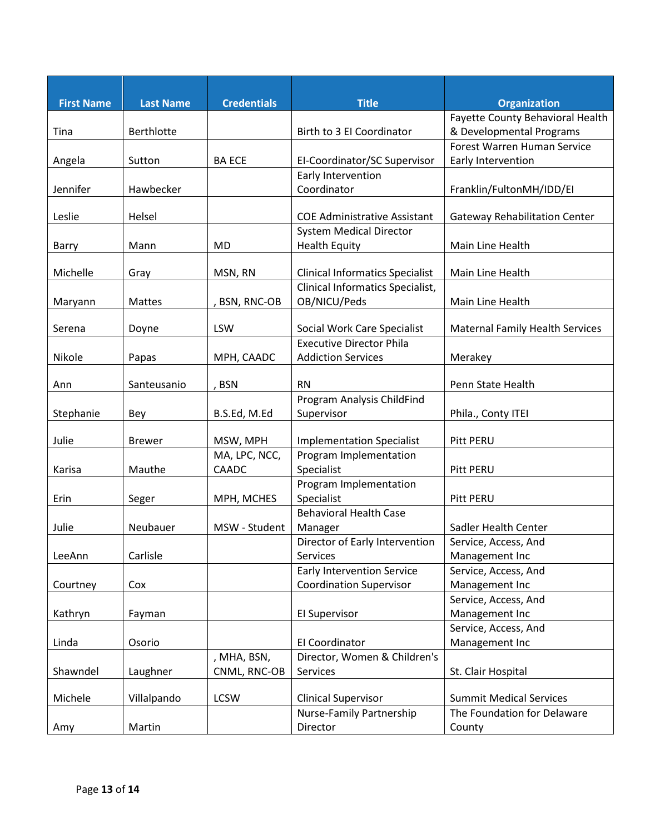| <b>Last Name</b> | <b>Credentials</b>                                                                                                                                                     | <b>Title</b>                                                                                                                            | <b>Organization</b>                                                                                                                                                                                                                                                                                                                                                                                                                                                                                                                                                                                                                                    |
|------------------|------------------------------------------------------------------------------------------------------------------------------------------------------------------------|-----------------------------------------------------------------------------------------------------------------------------------------|--------------------------------------------------------------------------------------------------------------------------------------------------------------------------------------------------------------------------------------------------------------------------------------------------------------------------------------------------------------------------------------------------------------------------------------------------------------------------------------------------------------------------------------------------------------------------------------------------------------------------------------------------------|
|                  |                                                                                                                                                                        |                                                                                                                                         | Fayette County Behavioral Health                                                                                                                                                                                                                                                                                                                                                                                                                                                                                                                                                                                                                       |
|                  |                                                                                                                                                                        |                                                                                                                                         | & Developmental Programs                                                                                                                                                                                                                                                                                                                                                                                                                                                                                                                                                                                                                               |
|                  |                                                                                                                                                                        |                                                                                                                                         | <b>Forest Warren Human Service</b>                                                                                                                                                                                                                                                                                                                                                                                                                                                                                                                                                                                                                     |
| Sutton           |                                                                                                                                                                        |                                                                                                                                         | Early Intervention                                                                                                                                                                                                                                                                                                                                                                                                                                                                                                                                                                                                                                     |
|                  |                                                                                                                                                                        |                                                                                                                                         |                                                                                                                                                                                                                                                                                                                                                                                                                                                                                                                                                                                                                                                        |
|                  |                                                                                                                                                                        |                                                                                                                                         | Franklin/FultonMH/IDD/EI                                                                                                                                                                                                                                                                                                                                                                                                                                                                                                                                                                                                                               |
|                  |                                                                                                                                                                        |                                                                                                                                         | <b>Gateway Rehabilitation Center</b>                                                                                                                                                                                                                                                                                                                                                                                                                                                                                                                                                                                                                   |
|                  |                                                                                                                                                                        |                                                                                                                                         |                                                                                                                                                                                                                                                                                                                                                                                                                                                                                                                                                                                                                                                        |
|                  |                                                                                                                                                                        |                                                                                                                                         | Main Line Health                                                                                                                                                                                                                                                                                                                                                                                                                                                                                                                                                                                                                                       |
|                  |                                                                                                                                                                        |                                                                                                                                         |                                                                                                                                                                                                                                                                                                                                                                                                                                                                                                                                                                                                                                                        |
| Gray             | MSN, RN                                                                                                                                                                | <b>Clinical Informatics Specialist</b>                                                                                                  | Main Line Health                                                                                                                                                                                                                                                                                                                                                                                                                                                                                                                                                                                                                                       |
|                  |                                                                                                                                                                        | <b>Clinical Informatics Specialist,</b>                                                                                                 |                                                                                                                                                                                                                                                                                                                                                                                                                                                                                                                                                                                                                                                        |
| <b>Mattes</b>    | , BSN, RNC-OB                                                                                                                                                          | OB/NICU/Peds                                                                                                                            | Main Line Health                                                                                                                                                                                                                                                                                                                                                                                                                                                                                                                                                                                                                                       |
|                  |                                                                                                                                                                        |                                                                                                                                         |                                                                                                                                                                                                                                                                                                                                                                                                                                                                                                                                                                                                                                                        |
|                  |                                                                                                                                                                        |                                                                                                                                         | <b>Maternal Family Health Services</b>                                                                                                                                                                                                                                                                                                                                                                                                                                                                                                                                                                                                                 |
|                  |                                                                                                                                                                        |                                                                                                                                         |                                                                                                                                                                                                                                                                                                                                                                                                                                                                                                                                                                                                                                                        |
|                  |                                                                                                                                                                        |                                                                                                                                         | Merakey                                                                                                                                                                                                                                                                                                                                                                                                                                                                                                                                                                                                                                                |
|                  |                                                                                                                                                                        |                                                                                                                                         |                                                                                                                                                                                                                                                                                                                                                                                                                                                                                                                                                                                                                                                        |
|                  |                                                                                                                                                                        |                                                                                                                                         | Penn State Health                                                                                                                                                                                                                                                                                                                                                                                                                                                                                                                                                                                                                                      |
|                  |                                                                                                                                                                        |                                                                                                                                         | Phila., Conty ITEI                                                                                                                                                                                                                                                                                                                                                                                                                                                                                                                                                                                                                                     |
|                  |                                                                                                                                                                        |                                                                                                                                         |                                                                                                                                                                                                                                                                                                                                                                                                                                                                                                                                                                                                                                                        |
| <b>Brewer</b>    | MSW, MPH                                                                                                                                                               | <b>Implementation Specialist</b>                                                                                                        | Pitt PERU                                                                                                                                                                                                                                                                                                                                                                                                                                                                                                                                                                                                                                              |
|                  | MA, LPC, NCC,                                                                                                                                                          | Program Implementation                                                                                                                  |                                                                                                                                                                                                                                                                                                                                                                                                                                                                                                                                                                                                                                                        |
| Mauthe           | CAADC                                                                                                                                                                  | Specialist                                                                                                                              | Pitt PERU                                                                                                                                                                                                                                                                                                                                                                                                                                                                                                                                                                                                                                              |
|                  |                                                                                                                                                                        | Program Implementation                                                                                                                  |                                                                                                                                                                                                                                                                                                                                                                                                                                                                                                                                                                                                                                                        |
| Seger            | MPH, MCHES                                                                                                                                                             | Specialist                                                                                                                              | Pitt PERU                                                                                                                                                                                                                                                                                                                                                                                                                                                                                                                                                                                                                                              |
|                  |                                                                                                                                                                        |                                                                                                                                         |                                                                                                                                                                                                                                                                                                                                                                                                                                                                                                                                                                                                                                                        |
|                  |                                                                                                                                                                        | Manager                                                                                                                                 | Sadler Health Center                                                                                                                                                                                                                                                                                                                                                                                                                                                                                                                                                                                                                                   |
|                  |                                                                                                                                                                        |                                                                                                                                         | Service, Access, And                                                                                                                                                                                                                                                                                                                                                                                                                                                                                                                                                                                                                                   |
|                  |                                                                                                                                                                        |                                                                                                                                         | Management Inc                                                                                                                                                                                                                                                                                                                                                                                                                                                                                                                                                                                                                                         |
|                  |                                                                                                                                                                        |                                                                                                                                         | Service, Access, And                                                                                                                                                                                                                                                                                                                                                                                                                                                                                                                                                                                                                                   |
|                  |                                                                                                                                                                        |                                                                                                                                         | Management Inc                                                                                                                                                                                                                                                                                                                                                                                                                                                                                                                                                                                                                                         |
|                  |                                                                                                                                                                        |                                                                                                                                         | Service, Access, And                                                                                                                                                                                                                                                                                                                                                                                                                                                                                                                                                                                                                                   |
|                  |                                                                                                                                                                        |                                                                                                                                         | Management Inc                                                                                                                                                                                                                                                                                                                                                                                                                                                                                                                                                                                                                                         |
|                  |                                                                                                                                                                        |                                                                                                                                         | Service, Access, And                                                                                                                                                                                                                                                                                                                                                                                                                                                                                                                                                                                                                                   |
|                  |                                                                                                                                                                        |                                                                                                                                         | Management Inc                                                                                                                                                                                                                                                                                                                                                                                                                                                                                                                                                                                                                                         |
|                  |                                                                                                                                                                        |                                                                                                                                         |                                                                                                                                                                                                                                                                                                                                                                                                                                                                                                                                                                                                                                                        |
|                  |                                                                                                                                                                        |                                                                                                                                         | St. Clair Hospital                                                                                                                                                                                                                                                                                                                                                                                                                                                                                                                                                                                                                                     |
|                  |                                                                                                                                                                        |                                                                                                                                         | <b>Summit Medical Services</b>                                                                                                                                                                                                                                                                                                                                                                                                                                                                                                                                                                                                                         |
|                  |                                                                                                                                                                        |                                                                                                                                         | The Foundation for Delaware                                                                                                                                                                                                                                                                                                                                                                                                                                                                                                                                                                                                                            |
| Martin           |                                                                                                                                                                        | Director                                                                                                                                | County                                                                                                                                                                                                                                                                                                                                                                                                                                                                                                                                                                                                                                                 |
|                  | <b>Berthlotte</b><br>Hawbecker<br>Helsel<br>Mann<br>Doyne<br>Papas<br>Santeusanio<br>Bey<br>Neubauer<br>Carlisle<br>Cox<br>Fayman<br>Osorio<br>Laughner<br>Villalpando | <b>BA ECE</b><br><b>MD</b><br><b>LSW</b><br>MPH, CAADC<br>, BSN<br>B.S.Ed, M.Ed<br>MSW - Student<br>, MHA, BSN,<br>CNML, RNC-OB<br>LCSW | Birth to 3 El Coordinator<br>El-Coordinator/SC Supervisor<br>Early Intervention<br>Coordinator<br><b>COE Administrative Assistant</b><br><b>System Medical Director</b><br><b>Health Equity</b><br>Social Work Care Specialist<br><b>Executive Director Phila</b><br><b>Addiction Services</b><br><b>RN</b><br>Program Analysis ChildFind<br>Supervisor<br><b>Behavioral Health Case</b><br>Director of Early Intervention<br>Services<br><b>Early Intervention Service</b><br><b>Coordination Supervisor</b><br>El Supervisor<br>El Coordinator<br>Director, Women & Children's<br>Services<br><b>Clinical Supervisor</b><br>Nurse-Family Partnership |